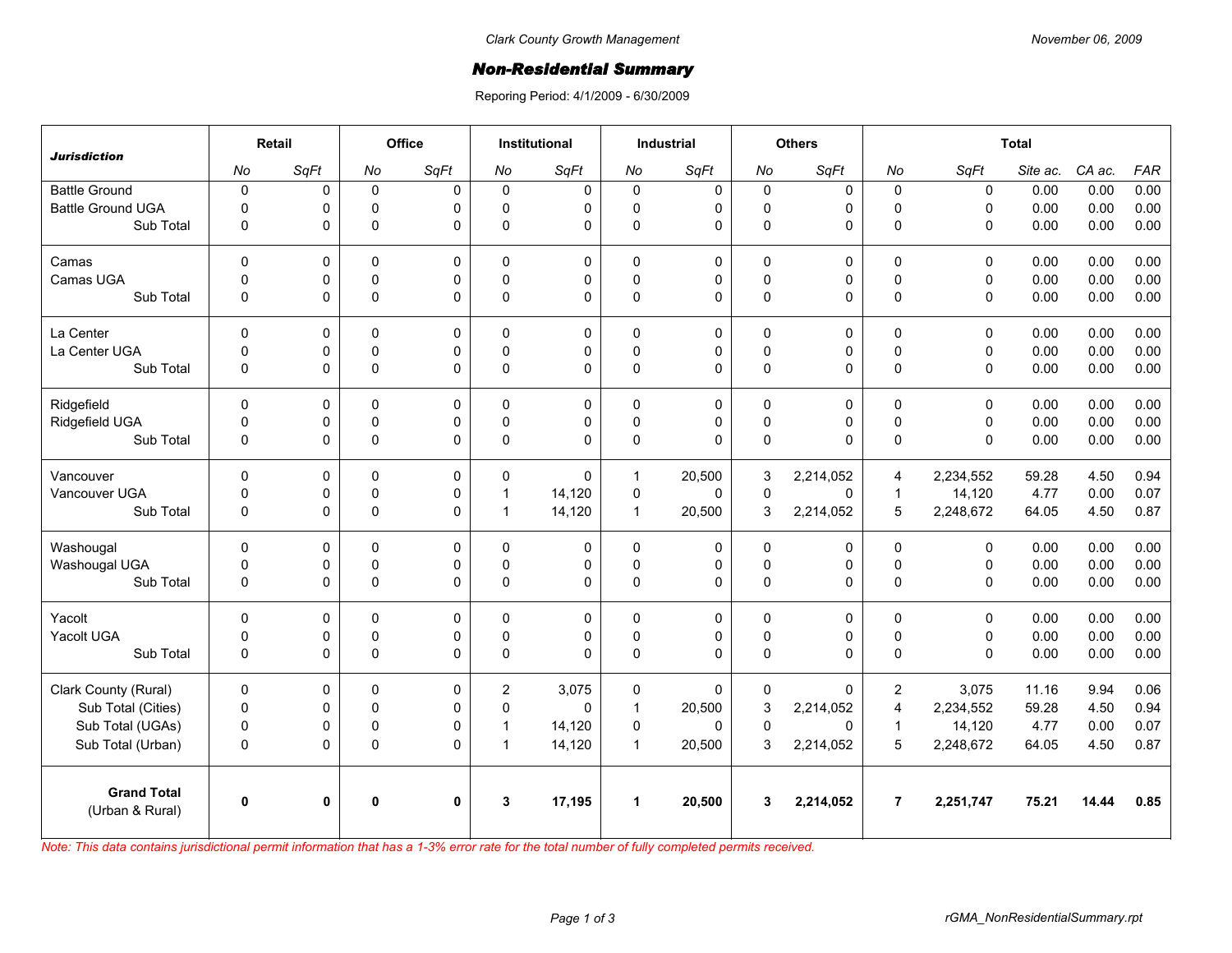## *Non-Residential Summary*

Reporing Period: 4/1/2009 - 6/30/2009

| <b>Jurisdiction</b>                   | Retail       |      | Office       |              | Institutional  |          | <b>Industrial</b>    |             | <b>Others</b> |           | <b>Total</b>   |             |          |        |            |
|---------------------------------------|--------------|------|--------------|--------------|----------------|----------|----------------------|-------------|---------------|-----------|----------------|-------------|----------|--------|------------|
|                                       | No           | SqFt | No           | SqFt         | No             | SqFt     | No                   | SqFt        | No            | SqFt      | No             | SqFt        | Site ac. | CA ac. | <b>FAR</b> |
| <b>Battle Ground</b>                  | $\mathbf 0$  | 0    | $\mathbf 0$  | $\Omega$     | $\Omega$       | 0        | $\mathbf 0$          | 0           | $\mathbf 0$   | $\Omega$  | $\mathbf 0$    | $\mathbf 0$ | 0.00     | 0.00   | 0.00       |
| <b>Battle Ground UGA</b>              | $\Omega$     | 0    | $\mathbf 0$  | $\Omega$     | $\Omega$       | 0        | $\mathbf 0$          | 0           | $\mathbf 0$   | 0         | $\Omega$       | $\Omega$    | 0.00     | 0.00   | 0.00       |
| Sub Total                             | 0            | 0    | $\Omega$     | $\Omega$     | $\Omega$       | 0        | 0                    | $\Omega$    | 0             | 0         | $\Omega$       | $\Omega$    | 0.00     | 0.00   | 0.00       |
| Camas                                 | $\Omega$     | 0    | $\Omega$     | $\Omega$     | $\Omega$       | 0        | $\mathbf{0}$         | 0           | 0             | $\Omega$  | $\mathbf{0}$   | $\Omega$    | 0.00     | 0.00   | 0.00       |
| Camas UGA                             | $\mathbf 0$  | 0    | $\pmb{0}$    | 0            | $\Omega$       | 0        | 0                    | 0           | $\pmb{0}$     | 0         | $\pmb{0}$      | $\mathbf 0$ | 0.00     | 0.00   | 0.00       |
| Sub Total                             | $\mathbf{0}$ | 0    | $\Omega$     | $\Omega$     | $\Omega$       | 0        | $\mathbf{0}$         | $\Omega$    | 0             | 0         | $\Omega$       | $\Omega$    | 0.00     | 0.00   | 0.00       |
| La Center                             | $\mathbf 0$  | 0    | $\mathbf 0$  | 0            | $\Omega$       | 0        | $\mathbf 0$          | 0           | 0             | 0         | $\mathbf 0$    | $\mathbf 0$ | 0.00     | 0.00   | 0.00       |
| La Center UGA                         | $\mathbf 0$  | 0    | $\mathbf 0$  | 0            | $\Omega$       | 0        | 0                    | 0           | $\mathbf 0$   | 0         | $\mathbf 0$    | $\mathbf 0$ | 0.00     | 0.00   | 0.00       |
| Sub Total                             | $\mathbf 0$  | 0    | $\pmb{0}$    | $\mathbf 0$  | $\Omega$       | 0        | 0                    | $\mathbf 0$ | 0             | 0         | $\Omega$       | $\Omega$    | 0.00     | 0.00   | 0.00       |
| Ridgefield                            | $\Omega$     | 0    | 0            | $\Omega$     | $\mathbf{0}$   | 0        | $\mathbf 0$          | 0           | 0             | $\Omega$  | $\mathbf{0}$   | $\Omega$    | 0.00     | 0.00   | 0.00       |
| Ridgefield UGA                        | $\mathbf 0$  | 0    | $\pmb{0}$    | 0            | $\Omega$       | 0        | 0                    | 0           | $\pmb{0}$     | 0         | $\mathsf 0$    | $\mathbf 0$ | 0.00     | 0.00   | 0.00       |
| Sub Total                             | $\mathbf 0$  | 0    | $\Omega$     | $\Omega$     | $\Omega$       | 0        | $\mathbf{0}$         | $\Omega$    | 0             | 0         | $\Omega$       | $\Omega$    | 0.00     | 0.00   | 0.00       |
| Vancouver                             | $\Omega$     | 0    | $\Omega$     | $\Omega$     | $\Omega$       | $\Omega$ | $\mathbf{1}$         | 20,500      | 3             | 2,214,052 | $\overline{4}$ | 2,234,552   | 59.28    | 4.50   | 0.94       |
| Vancouver UGA                         | 0            | 0    | $\mathbf 0$  | 0            | 1              | 14,120   | 0                    | $\Omega$    | $\mathbf 0$   | 0         | $\overline{1}$ | 14,120      | 4.77     | 0.00   | 0.07       |
| Sub Total                             | $\mathbf 0$  | 0    | $\pmb{0}$    | $\mathbf 0$  | 1              | 14,120   | $\mathbf{1}$         | 20,500      | 3             | 2,214,052 | 5              | 2,248,672   | 64.05    | 4.50   | 0.87       |
| Washougal                             | $\mathbf{0}$ | 0    | 0            | 0            | 0              | 0        | $\mathbf 0$          | 0           | 0             | 0         | $\mathbf 0$    | $\mathbf 0$ | 0.00     | 0.00   | 0.00       |
| Washougal UGA                         | $\mathbf 0$  | 0    | $\mathbf 0$  | 0            | $\Omega$       | 0        | 0                    | $\mathbf 0$ | $\mathbf 0$   | 0         | $\mathbf 0$    | $\mathbf 0$ | 0.00     | 0.00   | 0.00       |
| Sub Total                             | 0            | 0    | $\pmb{0}$    | $\Omega$     | 0              | 0        | 0                    | $\mathbf 0$ | $\mathbf 0$   | 0         | $\pmb{0}$      | $\mathbf 0$ | 0.00     | 0.00   | 0.00       |
| Yacolt                                | $\Omega$     | 0    | $\Omega$     | $\Omega$     | $\Omega$       | 0        | $\mathbf 0$          | $\mathbf 0$ | $\mathbf 0$   | 0         | $\Omega$       | $\Omega$    | 0.00     | 0.00   | 0.00       |
| Yacolt UGA                            | 0            | 0    | 0            | 0            | $\Omega$       | 0        | 0                    | 0           | $\mathbf 0$   | 0         | $\pmb{0}$      | 0           | 0.00     | 0.00   | 0.00       |
| Sub Total                             | $\Omega$     | 0    | $\Omega$     | $\Omega$     | $\Omega$       | 0        | $\mathbf{0}$         | $\Omega$    | 0             | $\Omega$  | $\Omega$       | $\Omega$    | 0.00     | 0.00   | 0.00       |
| Clark County (Rural)                  | $\mathbf 0$  | 0    | $\mathbf 0$  | 0            | $\overline{2}$ | 3,075    | 0                    | 0           | 0             | 0         | $\overline{2}$ | 3,075       | 11.16    | 9.94   | 0.06       |
| Sub Total (Cities)                    | $\mathbf 0$  | 0    | $\mathbf 0$  | $\Omega$     | $\Omega$       | $\Omega$ | $\mathbf{1}$         | 20,500      | 3             | 2,214,052 | $\overline{4}$ | 2,234,552   | 59.28    | 4.50   | 0.94       |
| Sub Total (UGAs)                      | $\mathbf 0$  | 0    | $\pmb{0}$    | 0            | 1              | 14,120   | 0                    | $\Omega$    | 0             | 0         | $\mathbf 1$    | 14,120      | 4.77     | 0.00   | 0.07       |
| Sub Total (Urban)                     | $\pmb{0}$    | 0    | $\pmb{0}$    | $\Omega$     | $\mathbf 1$    | 14,120   | $\overline{1}$       | 20,500      | 3             | 2,214,052 | 5              | 2,248,672   | 64.05    | 4.50   | 0.87       |
| <b>Grand Total</b><br>(Urban & Rural) | $\mathbf{0}$ | 0    | $\mathbf{0}$ | $\mathbf{0}$ | 3              | 17,195   | $\blacktriangleleft$ | 20,500      | 3             | 2,214,052 | $\overline{7}$ | 2,251,747   | 75.21    | 14.44  | 0.85       |

*Note: This data contains jurisdictional permit information that has a 1-3% error rate for the total number of fully completed permits received.*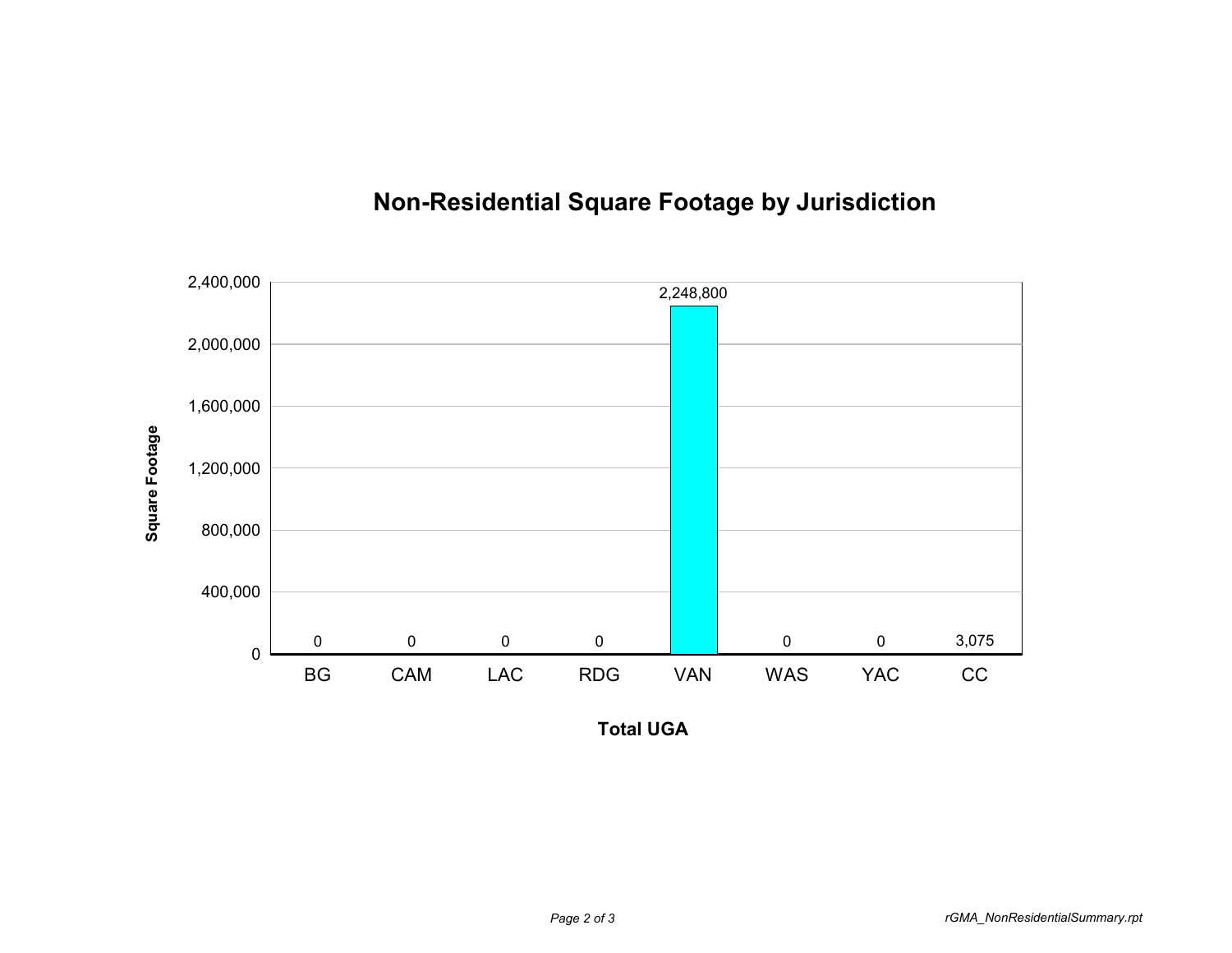

## **Non-Residential Square Footage by Jurisdiction**

**Total UGA**